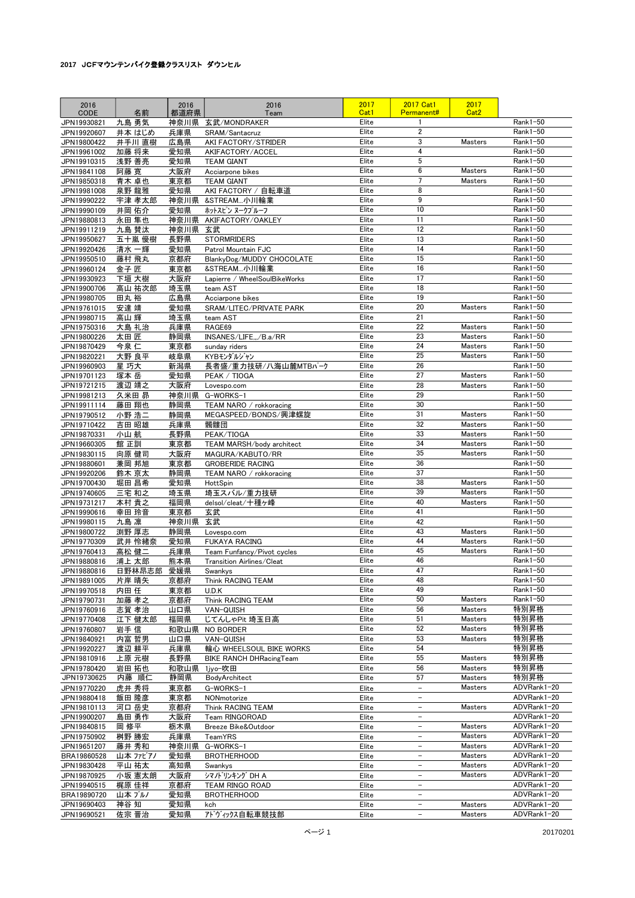| 2016<br>CODE               | 名前              | 2016<br>都道府県 | 2016<br>Team                                  | 2017<br>Cat1   | <b>2017 Cat1</b><br>Permanent#   | 2017<br>Cat <sub>2</sub>  |                            |
|----------------------------|-----------------|--------------|-----------------------------------------------|----------------|----------------------------------|---------------------------|----------------------------|
| JPN19930821                | 九島 勇気           |              | 神奈川県 玄武/MONDRAKER                             | Elite          | 1                                |                           | $Rank1-50$                 |
| JPN19920607                | 井本 はじめ          | 兵庫県          | SRAM/Santacruz                                | Elite          | $\overline{2}$                   |                           | $Rank1-50$                 |
| JPN19800422                | 井手川 直樹          | 広島県          | AKI FACTORY/STRIDER                           | Elite          | 3<br>4                           | <b>Masters</b>            | $Rank1-50$                 |
| JPN19961002                | 加藤 将来           | 愛知県          | AKIFACTORY/ACCEL                              | Elite<br>Elite | 5                                |                           | $Rank1-50$<br>$Rank1-50$   |
| JPN19910315                | 浅野 善亮           | 愛知県          | <b>TEAM GIANT</b>                             | Elite          | 6                                | Masters                   | $Rank1-50$                 |
| JPN19841108<br>JPN19850318 | 阿藤 寛<br>青木 卓也   | 大阪府<br>東京都   | Acciarpone bikes<br><b>TEAM GIANT</b>         | Elite          | 7                                | <b>Masters</b>            | $Rank1-50$                 |
| JPN19981008                | 泉野 龍雅           | 愛知県          | AKI FACTORY / 自転車道                            | Elite          | 8                                |                           | $Rank1-50$                 |
| JPN19990222                | 宇津 孝太郎          | 神奈川県         | &STREAM小川輪業                                   | Elite          | 9                                |                           | $Rank1-50$                 |
| JPN19990109                | 井岡 佑介           | 愛知県          | ホットスピン ヌークプルーフ                                | Elite          | 10                               |                           | $Rank1-50$                 |
| JPN19880813                | 永田 隼也           |              | 神奈川県 AKIFACTORY/OAKLEY                        | Elite          | 11                               |                           | $Rank1-50$                 |
| JPN19911219                | 九島 賛汰           | 神奈川県         | 玄武                                            | Elite          | 12                               |                           | Rank1-50                   |
| JPN19950627                | 五十嵐 優樹          | 長野県          | <b>STORMRIDERS</b>                            | Elite          | 13                               |                           | $Rank1-50$                 |
| JPN19920426                | 清水 一輝           | 愛知県          | Patrol Mountain FJC                           | Elite          | 14                               |                           | $Rank1-50$                 |
| JPN19950510                | 藤村 飛丸           | 京都府          | BlankyDog/MUDDY CHOCOLATE                     | Elite          | 15                               |                           | $Rank1-50$                 |
| JPN19960124                | 金子 匠            | 東京都          | &STREAM小川輪業                                   | Elite          | 16                               |                           | $Rank1-50$                 |
| JPN19930923                | 下垣 大樹           | 大阪府          | Lapierre / WheelSoulBikeWorks                 | Elite          | 17                               |                           | $Rank1-50$                 |
| JPN19900706                | 高山 祐次郎          | 埼玉県          | team AST                                      | Elite          | 18                               |                           | $Rank1-50$                 |
| JPN19980705                | 田丸 裕            | 広島県          | Acciarpone bikes                              | Elite<br>Elite | 19<br>20                         | <b>Masters</b>            | $Rank1-50$<br>$Rank1-50$   |
| JPN19761015<br>JPN19980715 | 安達 靖<br>高山 輝    | 愛知県<br>埼玉県   | SRAM/LITEC/PRIVATE PARK<br>team AST           | Elite          | 21                               |                           | Rank1-50                   |
| JPN19750316                | 大島 礼治           | 兵庫県          | RAGE69                                        | Elite          | 22                               | <b>Masters</b>            | $Rank1-50$                 |
| JPN19800226                | 太田 匠            | 静岡県          | INSANES/LIFE/B.a/RR                           | Elite          | 23                               | <b>Masters</b>            | $Rank1-50$                 |
| JPN19870429                | 今泉 仁            | 東京都          | sunday riders                                 | Elite          | 24                               | <b>Masters</b>            | $Rank1-50$                 |
| JPN19820221                | 大野 良平           | 岐阜県          | KYBモンダルジャン                                    | Elite          | 25                               | <b>Masters</b>            | Rank1-50                   |
| JPN19960903                | 星 巧大            | 新潟県          | 長者盛/重力技研/八海山麓MTBパーク                           | Elite          | 26                               |                           | $Rank1-50$                 |
| JPN19701123                | 塚本 岳            | 愛知県          | PEAK / TIOGA                                  | Elite          | 27                               | Masters                   | Rank1-50                   |
| JPN19721215                | 渡辺 靖之           | 大阪府          | Lovespo.com                                   | Elite          | 28                               | <b>Masters</b>            | $Rank1-50$                 |
| JPN19981213                | 久米田 昴           | 神奈川県         | G-WORKS-1                                     | Elite          | 29                               |                           | $Rank1-50$                 |
| JPN19911114                | 藤田 翔也           | 静岡県          | TEAM NARO / rokkoracing                       | Elite          | 30                               |                           | Rank1-50                   |
| JPN19790512                | 小野 浩二           | 静岡県          | MEGASPEED/BONDS/興津螺旋                          | Elite          | 31                               | Masters                   | $Rank1-50$                 |
| JPN19710422                | 吉田 昭雄           | 兵庫県          | 髑髏団                                           | Elite          | 32                               | Masters                   | Rank1-50                   |
| JPN19870331                | 小山 航            | 長野県          | PEAK/TIOGA                                    | Elite<br>Elite | 33<br>34                         | Masters<br><b>Masters</b> | $Rank1-50$<br>$Rank1-50$   |
| JPN19660305<br>JPN19830115 | 館 正訓<br>向原 健司   | 東京都<br>大阪府   | TEAM MARSH/body architect<br>MAGURA/KABUTO/RR | Elite          | 35                               | <b>Masters</b>            | $Rank1-50$                 |
| JPN19880601                | 兼岡 邦旭           | 東京都          | <b>GROBERIDE RACING</b>                       | Elite          | 36                               |                           | $Rank1-50$                 |
| JPN19920206                | 鈴木 京太           | 静岡県          | TEAM NARO / rokkoracing                       | Elite          | 37                               |                           | $Rank1-50$                 |
| JPN19700430                | 堀田 昌希           | 愛知県          | HottSpin                                      | Elite          | 38                               | <b>Masters</b>            | $Rank1-50$                 |
| JPN19740605                | 三宅 和之           | 埼玉県          | 埼玉スバル/重力技研                                    | Elite          | 39                               | <b>Masters</b>            | $Rank1-50$                 |
| JPN19731217                | 本村 貴之           | 福岡県          | delsol/cleat/十種ヶ峰                             | Elite          | 40                               | <b>Masters</b>            | Rank1-50                   |
| JPN19990616                | 幸田 玲音           | 東京都          | 玄武                                            | Elite          | 41                               |                           | Rank1-50                   |
| JPN19980115                | 九島 凛            | 神奈川県         | 玄武                                            | Elite          | 42                               |                           | Rank1-50                   |
| JPN19800722                | 渕野 厚志           | 静岡県          | Lovespo.com                                   | Elite          | 43                               | <b>Masters</b>            | $Rank1-50$                 |
| JPN19770309                | 武井 怜緒奈          | 愛知県          | <b>FUKAYA RACING</b>                          | Elite          | 44                               | <b>Masters</b>            | Rank1-50                   |
| JPN19760413                | 高松 健二           | 兵庫県          | Team Funfancy/Pivot cycles                    | Elite<br>Elite | 45<br>46                         | Masters                   | $Rank1-50$<br>Rank1-50     |
| JPN19880816<br>JPN19880816 | 浦上 太郎<br>日野林昂志郎 | 熊本県<br>愛媛県   | Transition Airlines/Cleat<br>Swankys          | Elite          | 47                               |                           | Rank1-50                   |
| JPN19891005                | 片岸 晴矢           | 京都府          | Think RACING TEAM                             | Elite          | 48                               |                           | Rank1-50                   |
| JPN19970518                | 内田 任            | 東京都          | U.D.K                                         | Elite          | 49                               |                           | $Rank1-50$                 |
| JPN19790731                | 加藤 孝之           | 京都府          | Think RACING TEAM                             | Elite          | 50                               | Masters                   | Rank1-50                   |
| JPN19760916                | 志賀 孝治           | 山口県          | VAN-QUISH                                     | Elite          | 56                               | Masters                   | 特別昇格                       |
| JPN19770408                | 江下 健太郎          | 福岡県          | じてんしゃPit 埼玉日高                                 | Elite          | 51                               | Masters                   | 特別昇格                       |
| JPN19760807                | 岩手 信            | 和歌山県         | NO BORDER                                     | Elite          | 52                               | <b>Masters</b>            | 特別昇格                       |
| JPN19840921                | 内富 哲男           | 山口県          | VAN-QUISH                                     | Elite          | 53                               | <b>Masters</b>            | 特別昇格                       |
| JPN19920227                | 渡辺 耕平           | 兵庫県          | 輪心 WHEELSOUL BIKE WORKS                       | Elite          | 54                               |                           | 特別昇格                       |
| JPN19810916                | 上原 元樹           | 長野県          | <b>BIKE RANCH DHRacingTeam</b>                | Elite          | 55                               | Masters                   | 特別昇格                       |
| JPN19780420<br>JPN19730625 | 岩田 拓也           | 和歌山県<br>静岡県  | 1jyo-吹田                                       | Elite          | 56<br>57                         | Masters                   | 特別昇格<br>特別昇格               |
| JPN19770220                | 内藤 順仁<br>虎井 秀将  | 東京都          | BodyArchitect<br>G-WORKS-1                    | Elite<br>Elite | $\qquad \qquad -$                | Masters<br>Masters        | ADVRank1-20                |
| JPN19880418                | 飯田 隆彦           | 東京都          | NONmotorize                                   | Elite          | $\qquad \qquad -$                |                           | ADVRank1-20                |
| JPN19810113                | 河口 岳史           | 京都府          | Think RACING TEAM                             | Elite          | $\overline{\phantom{0}}$         | <b>Masters</b>            | ADVRank1-20                |
| JPN19900207                | 島田 勇作           | 大阪府          | Team RINGOROAD                                | Elite          | $\qquad \qquad -$                |                           | ADVRank1-20                |
| JPN19840815                | 岡修平             | 栃木県          | Breeze Bike&Outdoor                           | Elite          | $\overline{\phantom{0}}$         | <b>Masters</b>            | ADVRank1-20                |
| JPN19750902                | 桝野 勝宏           | 兵庫県          | TeamYRS                                       | Elite          | $\qquad \qquad -$                | Masters                   | ADVRank1-20                |
| JPN19651207                | 藤井 秀和           | 神奈川県         | G-WORKS-1                                     | Elite          | $\qquad \qquad -$                | Masters                   | ADVRank1-20                |
| BRA19860528                | 山本 ファビアノ        | 愛知県          | <b>BROTHERHOOD</b>                            | Elite          | $\overline{\phantom{0}}$         | Masters                   | ADVRank1-20                |
| JPN19830428                | 平山 祐太           | 高知県          | Swankys                                       | Elite          | $\overline{\phantom{0}}$         | Masters                   | ADVRank1-20                |
| JPN19870925                | 小坂 憲太朗          | 大阪府          | シマル゙リンキング DH A                                | Elite          | $\overline{\phantom{0}}$         | Masters                   | ADVRank1-20<br>ADVRank1-20 |
| JPN19940515                | 梶原 佳祥           | 京都府          | TEAM RINGO ROAD<br><b>BROTHERHOOD</b>         | Elite          | $\overline{a}$<br>$\overline{a}$ |                           | ADVRank1-20                |
| BRA19890720<br>JPN19690403 | 山本 ブルノ<br>神谷 知  | 愛知県<br>愛知県   | kch                                           | Elite<br>Elite | $\overline{a}$                   | <b>Masters</b>            | ADVRank1-20                |
| JPN19690521                | 佐宗 晋治           | 愛知県          | アドヴィックス自転車競技部                                 | Elite          | $\overline{\phantom{0}}$         | <b>Masters</b>            | ADVRank1-20                |
|                            |                 |              |                                               |                |                                  |                           |                            |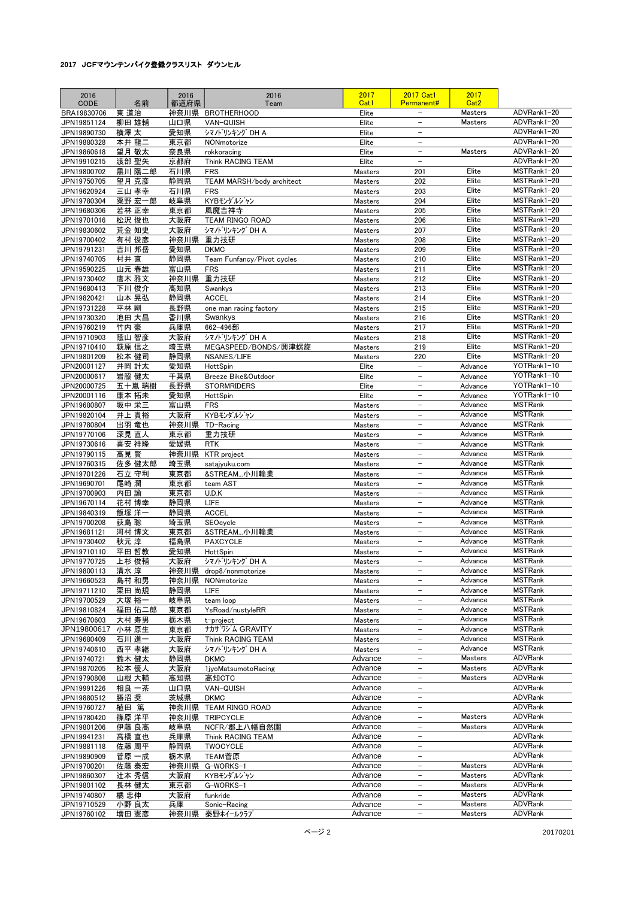| 2016<br>CODE               | 名前              | 2016<br>都道府県 | 2016<br>Team                        | 2017<br>Cat1                     | <b>2017 Cat1</b><br>Permanent#                       | 2017<br>Cat <sub>2</sub> |                                  |
|----------------------------|-----------------|--------------|-------------------------------------|----------------------------------|------------------------------------------------------|--------------------------|----------------------------------|
| BRA19830706                | 東道治             | 神奈川県         | <b>BROTHERHOOD</b>                  | Elite                            | $\qquad \qquad -$                                    | Masters                  | ADVRank1-20                      |
| JPN19851124                | 柳田 雄輔           | 山口県          | VAN-QUISH                           | Elite                            | $\qquad \qquad -$                                    | <b>Masters</b>           | ADVRank1-20                      |
| JPN19890730                | 横澤 太            | 愛知県          | シマノドリンキング DH A                      | Elite                            | $\qquad \qquad -$                                    |                          | ADVRank1-20                      |
| JPN19880328                | 本井 龍二           | 東京都          | NONmotorize                         | Elite                            | $\overline{\phantom{0}}$                             |                          | ADVRank1-20                      |
| JPN19860618                | 望月 敬太           | 奈良県          | rokkoracing                         | Elite                            | $\qquad \qquad -$<br>$\overline{\phantom{a}}$        | <b>Masters</b>           | ADVRank1-20<br>ADVRank1-20       |
| JPN19910215                | 渡部 聖矢<br>黒川 陽二郎 | 京都府<br>石川県   | Think RACING TEAM<br><b>FRS</b>     | Elite                            |                                                      | Elite                    | MSTRank1-20                      |
| JPN19800702<br>JPN19750705 | 望月 克彦           | 静岡県          | TEAM MARSH/body architect           | Masters<br><b>Masters</b>        | 201<br>202                                           | Elite                    | MSTRank1-20                      |
| JPN19620924                | 三山 孝幸           | 石川県          | <b>FRS</b>                          | <b>Masters</b>                   | 203                                                  | Elite                    | MSTRank1-20                      |
| JPN19780304                | 粟野 宏一郎          | 岐阜県          | KYBモンダルジャン                          | <b>Masters</b>                   | 204                                                  | Elite                    | MSTRank1-20                      |
| JPN19680306                | 若林 正幸           | 東京都          | 風魔吉祥寺                               | Masters                          | 205                                                  | Elite                    | MSTRank1-20                      |
| JPN19701016                | 松沢 俊也           | 大阪府          | TEAM RINGO ROAD                     | <b>Masters</b>                   | 206                                                  | Elite                    | MSTRank1-20                      |
| JPN19830602                | 荒金 知史           | 大阪府          | シマノト <sup>・</sup> リンキング DH A        | <b>Masters</b>                   | 207                                                  | Elite                    | MSTRank1-20                      |
| JPN19700402                | 有村 俊彦           | 神奈川県         | 重力技研                                | <b>Masters</b>                   | 208                                                  | Elite                    | MSTRank1-20                      |
| JPN19791231                | 吉川 邦岳           | 愛知県          | <b>DKMC</b>                         | Masters                          | 209                                                  | Elite                    | MSTRank1-20                      |
| JPN19740705                | 村井 直            | 静岡県          | Team Funfancy/Pivot cycles          | <b>Masters</b>                   | 210                                                  | Elite                    | MSTRank1-20                      |
| JPN19590225                | 山元 春雄           | 富山県          | <b>FRS</b>                          | Masters                          | 211                                                  | Elite                    | MSTRank1-20                      |
| JPN19730402                | 唐木 雅文           | 神奈川県         | 重力技研                                | Masters                          | 212                                                  | Elite                    | MSTRank1-20                      |
| JPN19680413                | 下川 俊介           | 高知県          | Swankys                             | Masters                          | 213                                                  | Elite                    | MSTRank1-20                      |
| JPN19820421                | 山本 晃弘           | 静岡県          | ACCEL                               | Masters                          | 214                                                  | Elite                    | MSTRank1-20                      |
| JPN19731228                | 平林 剛            | 長野県          | one man racing factory              | Masters                          | 215                                                  | Elite                    | MSTRank1-20<br>MSTRank1-20       |
| JPN19730320                | 池田 大昌           | 香川県          | Swankys                             | <b>Masters</b><br><b>Masters</b> | 216                                                  | Elite<br>Elite           | MSTRank1-20                      |
| JPN19760219                | 竹内 豪            | 兵庫県          | 662-496部<br>シマノドリンキング DH A          |                                  | 217                                                  | Elite                    | MSTRank1-20                      |
| JPN19710903<br>JPN19710410 | 蔭山 智彦<br>萩原 信之  | 大阪府<br>埼玉県   | MEGASPEED/BONDS/興津螺旋                | Masters<br><b>Masters</b>        | 218<br>219                                           | Elite                    | MSTRank1-20                      |
| JPN19801209                | 松本 健司           | 静岡県          | NSANES/LIFE                         | <b>Masters</b>                   | 220                                                  | Elite                    | MSTRank1-20                      |
| JPN20001127                | 井岡 計太           | 愛知県          | HottSpin                            | Elite                            | $\overline{\phantom{0}}$                             | Advance                  | YOTRank1-10                      |
| JPN20000617                | 岩脇 健太           | 千葉県          | Breeze Bike&Outdoor                 | Elite                            | $\overline{\phantom{0}}$                             | Advance                  | YOTRank1-10                      |
| JPN20000725                | 五十嵐 瑞樹          | 長野県          | <b>STORMRIDERS</b>                  | Elite                            | $\overline{\phantom{0}}$                             | Advance                  | YOTRank1-10                      |
| JPN20001116                | 康本 拓未           | 愛知県          | HottSpin                            | Elite                            | $\qquad \qquad -$                                    | Advance                  | YOTRank1-10                      |
| JPN19680807                | 坂中 栄三           | 富山県          | <b>FRS</b>                          | Masters                          | $\overline{\phantom{0}}$                             | Advance                  | <b>MSTRank</b>                   |
| JPN19820104                | 井上 貴裕           | 大阪府          | KYBモンダルジャン                          | Masters                          | $\overline{\phantom{0}}$                             | Advance                  | <b>MSTRank</b>                   |
| JPN19780804                | 出羽 竜也           | 神奈川県         | TD-Racing                           | <b>Masters</b>                   | $\qquad \qquad -$                                    | Advance                  | <b>MSTRank</b>                   |
| JPN19770106                | 深見 直人           | 東京都          | 重力技研                                | <b>Masters</b>                   | $\overline{\phantom{a}}$                             | Advance                  | <b>MSTRank</b>                   |
| JPN19730616                | 喜安 祥隆           | 愛媛県          | RTK                                 | <b>Masters</b>                   | $\qquad \qquad -$                                    | Advance                  | <b>MSTRank</b>                   |
| JPN19790115                | 高見 賢            | 神奈川県         | KTR project                         | Masters                          | $\overline{a}$                                       | Advance                  | <b>MSTRank</b>                   |
| JPN19760315                | 佐多 健太郎          | 埼玉県          | satajyuku.com                       | <b>Masters</b>                   | $\qquad \qquad -$                                    | Advance                  | <b>MSTRank</b>                   |
| JPN19701226                | 石立 守利           | 東京都          | &STREAM小川輪業                         | Masters                          | $\overline{\phantom{a}}$                             | Advance                  | <b>MSTRank</b>                   |
| JPN19690701                | 尾崎 潤            | 東京都          | team AST                            | Masters                          | $\overline{\phantom{0}}$<br>$\overline{\phantom{0}}$ | Advance<br>Advance       | <b>MSTRank</b><br><b>MSTRank</b> |
| JPN19700903                | 内田 諭<br>花村 博幸   | 東京都<br>静岡県   | U.D.K                               | Masters<br>Masters               | $\qquad \qquad -$                                    | Advance                  | <b>MSTRank</b>                   |
| JPN19670114<br>JPN19840319 | 飯塚 洋一           | 静岡県          | LIFE<br><b>ACCEL</b>                | Masters                          | $\overline{\phantom{0}}$                             | Advance                  | <b>MSTRank</b>                   |
| JPN19700208                | 荻島 聡            | 埼玉県          | <b>SEOcycle</b>                     | Masters                          | $\overline{\phantom{0}}$                             | Advance                  | <b>MSTRank</b>                   |
| JPN19681121                | 河村 博文           | 東京都          | &STREAM小川輪業                         | <b>Masters</b>                   | $\overline{\phantom{a}}$                             | Advance                  | <b>MSTRank</b>                   |
| JPN19730402                | 秋元 淳            | 福島県          | <b>PAXCYCLE</b>                     | Masters                          | $\overline{a}$                                       | Advance                  | <b>MSTRank</b>                   |
| JPN19710110                | 平田 哲教           | 愛知県          | HottSpin                            | <b>Masters</b>                   | L.                                                   | Advance                  | <b>MSTRank</b>                   |
| JPN19770725                | 上杉 俊輔           | 大阪府          | シマノドリンキング DH A                      | <b>Masters</b>                   | L.                                                   | Advance                  | <b>MSTRank</b>                   |
| JPN19800113                | 清水 淳            |              | 神奈川県 drop8/nonmotorize              | Masters                          | $\overline{\phantom{0}}$                             | Advance                  | <b>MSTRank</b>                   |
| JPN19660523                | 島村 和男           | 神奈川県         | NONmotorize                         | Masters                          | $\overline{\phantom{0}}$                             | Advance                  | <b>MSTRank</b>                   |
| JPN19711210                | 栗田 尚規           | 静岡県          | LIFE                                | Masters                          | $\overline{a}$                                       | Advance                  | <b>MSTRank</b>                   |
| JPN19700529                | 大塚 裕一           | 岐阜県          | team loop                           | Masters                          | $\overline{a}$                                       | Advance                  | <b>MSTRank</b>                   |
| JPN19810824                | 福田 佑二郎          | 東京都          | YsRoad/nustyleRR                    | Masters                          | $\overline{a}$                                       | Advance                  | <b>MSTRank</b>                   |
| JPN19670603                | 大村 寿男           | 栃木県          | t-project                           | Masters                          | $\qquad \qquad -$                                    | Advance                  | <b>MSTRank</b>                   |
| JPN19800617                | 小林 原生           | 東京都          | ナカザ゛ワジム GRAVITY                     | Masters                          | -                                                    | Advance                  | <b>MSTRank</b>                   |
| JPN19680409                | 石川 進一           | 大阪府          | Think RACING TEAM<br>シマノトリンキング DH A | Masters                          | ÷<br>-                                               | Advance<br>Advance       | <b>MSTRank</b><br><b>MSTRank</b> |
| JPN19740610<br>JPN19740721 | 西平 孝継           | 大阪府          | <b>DKMC</b>                         | Masters<br>Advance               | $\overline{\phantom{0}}$                             | Masters                  | ADVRank                          |
| JPN19870205                | 鈴木 健太<br>松本 優人  | 静岡県<br>大阪府   | 1jyoMatsumotoRacing                 | Advance                          | $\overline{\phantom{a}}$                             | Masters                  | ADVRank                          |
| JPN19790808                | 山根 大輔           | 高知県          | 高知CTC                               | Advance                          | $\qquad \qquad -$                                    | Masters                  | ADVRank                          |
| JPN19991226                | 相良 一茶           | 山口県          | VAN-QUISH                           | Advance                          | -                                                    |                          | ADVRank                          |
| JPN19880512                | 勝沼 奨            | 茨城県          | <b>DKMC</b>                         | Advance                          | $\qquad \qquad -$                                    |                          | <b>ADVRank</b>                   |
| JPN19760727                | 植田 篤            | 神奈川県         | TEAM RINGO ROAD                     | Advance                          | $\qquad \qquad -$                                    |                          | ADVRank                          |
| JPN19780420                | 篠原 洋平           | 神奈川県         | <b>TRIPCYCLE</b>                    | Advance                          | $\overline{\phantom{0}}$                             | Masters                  | ADVRank                          |
| JPN19801206                | 伊藤 良高           | 岐阜県          | NCFR/郡上八幡自然園                        | Advance                          | $\overline{\phantom{a}}$                             | <b>Masters</b>           | ADVRank                          |
| JPN19941231                | 高橋 直也           | 兵庫県          | Think RACING TEAM                   | Advance                          | $\overline{\phantom{a}}$                             |                          | ADVRank                          |
| JPN19881118                | 佐藤 周平           | 静岡県          | <b>TWOCYCLE</b>                     | Advance                          | $\overline{\phantom{0}}$                             |                          | ADVRank                          |
| JPN19890909                | 菅原 一成           | 栃木県          | TEAM菅原                              | Advance                          | $\qquad \qquad -$                                    |                          | ADVRank                          |
| JPN19700201                | 佐藤 泰宏           | 神奈川県         | G-WORKS-1                           | Advance                          | $\overline{\phantom{0}}$                             | Masters                  | ADVRank                          |
| JPN19860307                | 辻本 秀信           | 大阪府          | KYBモンダルジャン                          | Advance                          | $\overline{\phantom{a}}$                             | Masters                  | ADVRank                          |
| JPN19801102                | 長林 健太           | 東京都          | G-WORKS-1                           | Advance                          | $\overline{\phantom{0}}$                             | Masters                  | ADVRank                          |
| JPN19740807<br>JPN19710529 | 橘 忠伸<br>小野 良太   | 大阪府<br>兵庫    | funkride                            | Advance<br>Advance               | -<br>$\overline{\phantom{0}}$                        | Masters<br>Masters       | ADVRank<br>ADVRank               |
| JPN19760102                | 増田 憲彦           | 神奈川県         | Sonic-Racing<br>秦野ホイールクラブ           | Advance                          | $\overline{a}$                                       | Masters                  | ADVRank                          |
|                            |                 |              |                                     |                                  |                                                      |                          |                                  |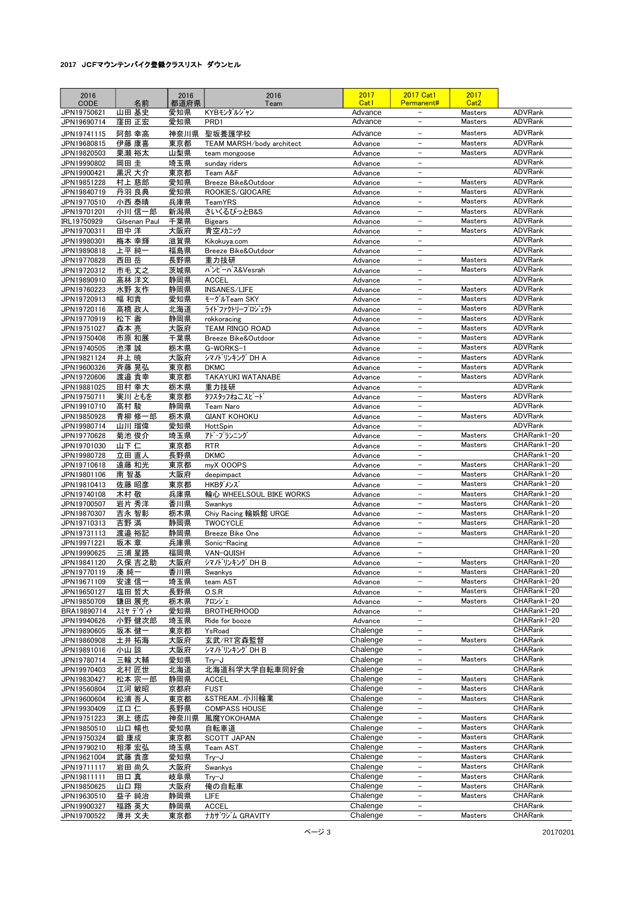| 2016<br><b>CODE</b>        | 名前                      | 2016<br>都道府県 | 2016<br>Team                                | 2017<br>Cat1         | 2017 Cat1<br>Permanent#                              | 2017<br>Cat <sub>2</sub>         |                            |
|----------------------------|-------------------------|--------------|---------------------------------------------|----------------------|------------------------------------------------------|----------------------------------|----------------------------|
| JPN19750621<br>JPN19690714 | 山田 基史<br>窪田 正宏          | 愛知県<br>愛知県   | KYBモンダルジャン<br>PRD1                          | Advance<br>Advance   | L,<br>$\overline{\phantom{0}}$                       | <b>Masters</b><br><b>Masters</b> | ADVRank<br>ADVRank         |
| JPN19741115                | 阿部 幸高                   | 神奈川県         | 聖坂養護学校                                      | Advance              | -                                                    | <b>Masters</b>                   | ADVRank                    |
| JPN19680815                | 伊藤 康喜                   | 東京都          | TEAM MARSH/body architect                   | Advance              | $\overline{a}$                                       | Masters                          | ADVRank                    |
| JPN19820503                | 栗瀬 裕太                   | 山梨県          | team mongoose                               | Advance              | -                                                    | Masters                          | <b>ADVRank</b>             |
| JPN19990802<br>JPN19900421 | 岡田 圭<br>黒沢 大介           | 埼玉県<br>東京都   | sunday riders<br>Team A&F                   | Advance<br>Advance   | -<br>-                                               |                                  | ADVRank<br>ADVRank         |
| JPN19851228                | 村上 慈郎                   | 愛知県          | Breeze Bike&Outdoor                         | Advance              | $\overline{a}$                                       | Masters                          | ADVRank                    |
| JPN19840719                | 丹羽 良典                   | 愛知県          | ROOKIES/GIOCARE                             | Advance              | ÷                                                    | Masters                          | ADVRank                    |
| JPN19770510                | 小西 泰晴                   | 兵庫県          | TeamYRS                                     | Advance              | $\overline{\phantom{0}}$                             | Masters                          | ADVRank                    |
| JPN19701201<br>IRL19750929 | 小川 信一郎<br>Gilsenan Paul | 新潟県<br>千葉県   | さいくるぴっとB&S<br><b>Bigears</b>                | Advance<br>Advance   | $\overline{\phantom{0}}$<br>$\qquad \qquad -$        | Masters<br>Masters               | ADVRank<br>ADVRank         |
| JPN19700311                | 田中 洋                    | 大阪府          | 青空メカニック                                     | Advance              | $\overline{\phantom{0}}$                             | Masters                          | ADVRank                    |
| JPN19980301                | 梅本 幸輝                   | 滋賀県          | Kikokuya.com                                | Advance              | $\overline{\phantom{0}}$                             |                                  | ADVRank                    |
| JPN19890818                | 上平 純一                   | 福島県          | Breeze Bike&Outdoor                         | Advance              | $\overline{a}$                                       |                                  | ADVRank                    |
| JPN19770828<br>JPN19720312 | 西田 岳<br>市毛 丈之           | 長野県<br>茨城県   | 重力技研<br>バンピーパス&Vesrah                       | Advance<br>Advance   | -<br>$\qquad \qquad -$                               | Masters<br><b>Masters</b>        | ADVRank<br>ADVRank         |
| JPN19890910                | 高林 洋文                   | 静岡県          | <b>ACCEL</b>                                | Advance              | $\overline{\phantom{0}}$                             |                                  | ADVRank                    |
| JPN19760223                | 水野 友作                   | 静岡県          | INSANES/LIFE                                | Advance              | $\overline{\phantom{0}}$                             | Masters                          | ADVRank                    |
| JPN19720913                | 幅 和貴                    | 愛知県          | モーグルTeam SKY                                | Advance              | $\qquad \qquad -$                                    | <b>Masters</b>                   | ADVRank                    |
| JPN19720116<br>JPN19770919 | 高橋 政人<br>松下 壽           | 北海道<br>静岡県   | ライトブァクトリープロジェクト<br>rokkoracing              | Advance<br>Advance   | $\qquad \qquad -$<br>$\overline{a}$                  | Masters<br>Masters               | ADVRank<br>ADVRank         |
| JPN19751027                | 森本 亮                    | 大阪府          | <b>TEAM RINGO ROAD</b>                      | Advance              | $\overline{a}$                                       | Masters                          | ADVRank                    |
| JPN19750408                | 市原 和展                   | 千葉県          | Breeze Bike&Outdoor                         | Advance              | $\overline{a}$                                       | Masters                          | ADVRank                    |
| JPN19740505                | 池澤 誠                    | 栃木県          | G-WORKS-1                                   | Advance              | -                                                    | Masters<br><b>Masters</b>        | ADVRank                    |
| JPN19821124<br>JPN19600326 | 井上 暁<br>斉藤 晃弘           | 大阪府<br>東京都   | シマノト <sup>・</sup> リンキング DH A<br><b>DKMC</b> | Advance<br>Advance   | $\overline{\phantom{0}}$<br>$\overline{a}$           | Masters                          | ADVRank<br>ADVRank         |
| JPN19720606                | 渡邉 貴幸                   | 東京都          | TAKAYUKI WATANABE                           | Advance              | $\overline{\phantom{0}}$                             | Masters                          | ADVRank                    |
| JPN19881025                | 田村 幸大                   | 栃木県          | 重力技研                                        | Advance              | -                                                    |                                  | ADVRank                    |
| JPN19750711                | 実川 ともを                  | 東京都          | タフスタッフねこスピード                                | Advance              | $\overline{\phantom{0}}$                             | Masters                          | <b>ADVRank</b><br>ADVRank  |
| JPN19910710<br>JPN19850928 | 高村 駿<br>青柳 修一郎          | 静岡県<br>栃木県   | <b>Team Naro</b><br><b>GIANT KOHOKU</b>     | Advance<br>Advance   | $\qquad \qquad -$<br>$\overline{\phantom{a}}$        | Masters                          | ADVRank                    |
| JPN19980714                | 山川 瑠偉                   | 愛知県          | HottSpin                                    | Advance              | $\overline{\phantom{0}}$                             |                                  | ADVRank                    |
| JPN19770628                | 菊池 俊介                   | 埼玉県          | アド・プランニング                                   | Advance              | $\overline{\phantom{0}}$                             | Masters                          | CHARank1-20                |
| JPN19701030                | 山下 仁                    | 東京都          | <b>RTR</b>                                  | Advance              | $\qquad \qquad -$<br>$\overline{\phantom{0}}$        | Masters                          | CHARank1-20<br>CHARank1-20 |
| JPN19980728<br>JPN19710618 | 立田 直人<br>遠藤 和光          | 長野県<br>東京都   | <b>DKMC</b><br>myX OOOPS                    | Advance<br>Advance   | $\overline{a}$                                       | Masters                          | CHARank1-20                |
| JPN19801106                | 南 智基                    | 大阪府          | deepimpact                                  | Advance              | $\overline{\phantom{0}}$                             | Masters                          | CHARank1-20                |
| JPN19810413                | 佐藤 昭彦                   | 東京都          | HKBダメンズ                                     | Advance              | $\overline{\phantom{0}}$                             | Masters                          | CHARank1-20                |
| JPN19740108                | 木村 敬<br>岩片 秀洋           | 兵庫県          | 輪心 WHEELSOUL BIKE WORKS                     | Advance<br>Advance   | $\overline{\phantom{0}}$<br>$\overline{a}$           | Masters<br>Masters               | CHARank1-20<br>CHARank1-20 |
| JPN19700507<br>JPN19870307 | 吉永 智彰                   | 香川県<br>栃木県   | Swankys<br>Chiy Racing 輪娯館 URGE             | Advance              | $\overline{\phantom{0}}$                             | Masters                          | CHARank1-20                |
| JPN19710313                | 吉野 満                    | 静岡県          | <b>TWOCYCLE</b>                             | Advance              | $\qquad \qquad -$                                    | Masters                          | CHARank1-20                |
| JPN19731113                | 渡邉 裕記                   | 静岡県          | Breeze Bike One                             | Advance              | $\overline{\phantom{0}}$                             | <b>Masters</b>                   | CHARank1-20                |
| JPN19971221                | 坂本 章                    | 兵庫県          | Sonic-Racing                                | Advance              | $\overline{\phantom{0}}$<br>$\overline{a}$           |                                  | CHARank1-20<br>CHARank1-20 |
| JPN19990625<br>JPN19841120 | 三浦 星路<br>久保 吉之助         | 福岡県<br>大阪府   | VAN-QUISH<br>シマノドリンキング DH B                 | Advance<br>Advance   | -                                                    | <b>Masters</b>                   | CHARank1-20                |
| JPN19770119                | 湊 純一                    | 香川県          | Swankys                                     | Advance              | $\qquad \qquad -$                                    | Masters                          | CHARank1-20                |
| JPN19671109                | 安達 信一                   | 埼玉県          | team AST                                    | Advance              | $\overline{\phantom{0}}$                             | Masters                          | CHARank1-20                |
| JPN19650127<br>JPN19850709 | 塩田 哲大<br>鎌田 展充          | 長野県<br>栃木県   | 0.S.R<br>アロンジェ                              | Advance<br>Advance   | -<br>$\qquad \qquad -$                               | Masters<br>Masters               | CHARank1-20<br>CHARank1-20 |
| BRA19890714                | スミヤ デヴイト                | 愛知県          | <b>BROTHERHOOD</b>                          | Advance              | $\overline{\phantom{a}}$                             |                                  | CHARank1-20                |
| JPN19940626                | 小野 健次郎                  | 埼玉県          | Ride for booze                              | Advance              | ÷                                                    |                                  | CHARank1-20                |
| JPN19890605                | 坂本 健一                   | 東京都          | YsRoad                                      | Chalenge             | ÷                                                    |                                  | CHARank                    |
| JPN19860908<br>JPN19891016 | 土井 拓海<br>小山 諒           | 大阪府<br>大阪府   | 玄武/RT宮森監督<br>シマノドリンキング DH B                 | Chalenge<br>Chalenge | $\overline{\phantom{0}}$<br>-                        | Masters                          | CHARank<br>CHARank         |
| JPN19780714                | 三輪 大輔                   | 愛知県          | Try-J                                       | Chalenge             | $\overline{\phantom{0}}$                             | Masters                          | CHARank                    |
| JPN19970403                | 北村 匠世                   | 北海道          | 北海道科学大学自転車同好会                               | Chalenge             | -                                                    |                                  | CHARank                    |
| JPN19830427                | 松本宗一郎                   | 静岡県          | <b>ACCEL</b>                                | Chalenge             | $\overline{\phantom{0}}$                             | Masters                          | CHARank                    |
| JPN19560804<br>JPN19600604 | 江河 敏昭<br>松浦 吾人          | 京都府<br>東京都   | <b>FUST</b><br>&STREAM小川輪業                  | Chalenge<br>Chalenge | -<br>$\overline{\phantom{a}}$                        | Masters<br>Masters               | CHARank<br>CHARank         |
| JPN19930409                | 江口仁                     | 長野県          | <b>COMPASS HOUSE</b>                        | Chalenge             | $\overline{a}$                                       |                                  | CHARank                    |
| JPN19751223                | 渕上 徳広                   | 神奈川県         | 風魔YOKOHAMA                                  | Chalenge             | $\overline{\phantom{0}}$                             | Masters                          | CHARank                    |
| JPN19850510                | 山口 暢也                   | 愛知県          | 自転車道                                        | Chalenge             | $\overline{\phantom{0}}$                             | Masters                          | CHARank                    |
| JPN19750324<br>JPN19790210 | 鍛 康成<br>相澤 宏弘           | 東京都<br>埼玉県   | <b>SCOTT JAPAN</b><br>Team AST              | Chalenge<br>Chalenge | $\overline{\phantom{0}}$<br>$\overline{\phantom{0}}$ | Masters<br>Masters               | CHARank<br>CHARank         |
| JPN19621004                | 武藤 貴彦                   | 愛知県          | Try-J                                       | Chalenge             | $\overline{\phantom{0}}$                             | Masters                          | CHARank                    |
| JPN19711117                | 岩田 尚久                   | 大阪府          | Swankys                                     | Chalenge             | $\overline{\phantom{0}}$                             | Masters                          | CHARank                    |
| JPN19811111                | 田口 真                    | 岐阜県          | Try-J                                       | Chalenge             | $\overline{\phantom{0}}$                             | Masters                          | CHARank                    |
| JPN19850625<br>JPN19630510 | 山口 翔<br>益子 純治           | 大阪府<br>静岡県   | 俺の自転車<br>LIFE                               | Chalenge<br>Chalenge | $\overline{\phantom{0}}$<br>$\overline{\phantom{0}}$ | Masters<br>Masters               | CHARank<br>CHARank         |
| JPN19900327                | 福路 英大                   | 静岡県          | <b>ACCEL</b>                                | Chalenge             | -                                                    |                                  | CHARank                    |
| JPN19700522                | 薄井 文夫                   | 東京都          | ナカザワジム GRAVITY                              | Chalenge             | $\overline{\phantom{0}}$                             | Masters                          | CHARank                    |